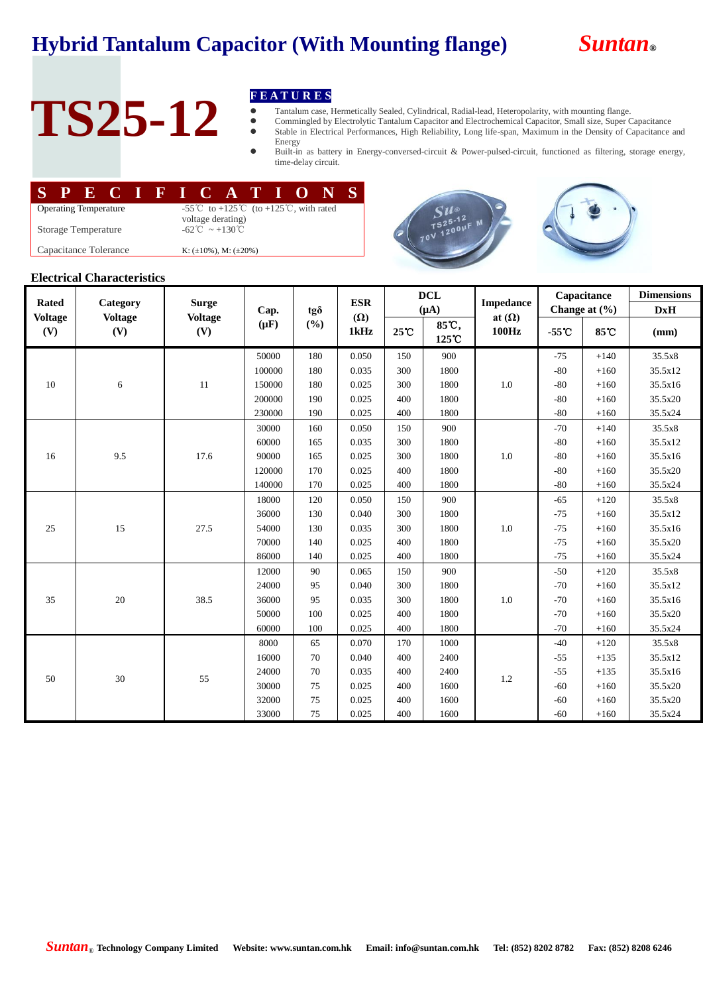## **Hybrid Tantalum Capacitor (With Mounting flange)** *Suntan***®**



# TS25-12 **FEATURES**<br> **FEATURES**<br> **Commingled by**<br> **Commingled by**<br> **Exampled by**<br> **Exampled by**<br> **Exampled by**<br> **Exampled by**<br> **Exampled by**<br> **Exampled by**

- Tantalum case, Hermetically Sealed, Cylindrical, Radial-lead, Heteropolarity, with mounting flange.
- Commingled by Electrolytic Tantalum Capacitor and Electrochemical Capacitor, Small size, Super Capacitance Stable in Electrical Performances, High Reliability, Long life-span, Maximum in the Density of Capacitance and Energy
- Built-in as battery in Energy-conversed-circuit & Power-pulsed-circuit, functioned as filtering, storage energy, time-delay circuit.

|                              |  |                       |  |  |  |  |                                                                                                    |  |  |  |  | SPECIFICATION |  |  |  |  |
|------------------------------|--|-----------------------|--|--|--|--|----------------------------------------------------------------------------------------------------|--|--|--|--|---------------|--|--|--|--|
| <b>Operating Temperature</b> |  |                       |  |  |  |  | -55 <sup>°</sup> C to +125 <sup>°</sup> C (to +125 <sup>°</sup> C, with rated<br>voltage derating) |  |  |  |  |               |  |  |  |  |
|                              |  | Storage Temperature   |  |  |  |  | $-62^{\circ}\text{C} \sim +130^{\circ}\text{C}$                                                    |  |  |  |  |               |  |  |  |  |
|                              |  | Capacitance Tolerance |  |  |  |  | K: $(\pm 10\%)$ , M: $(\pm 20\%)$                                                                  |  |  |  |  |               |  |  |  |  |





### **Electrical Characteristics**

| <b>Rated</b>   | Category       | <b>Surge</b><br><b>Voltage</b> | Cap.<br>$(\mu F)$ | $tg\delta$<br>(%) | <b>ESR</b><br>$(\Omega)$ | <b>DCL</b><br>$(A\mu)$ |       | <b>Impedance</b> |                   | Capacitance | <b>Dimensions</b> |
|----------------|----------------|--------------------------------|-------------------|-------------------|--------------------------|------------------------|-------|------------------|-------------------|-------------|-------------------|
| <b>Voltage</b> | <b>Voltage</b> |                                |                   |                   |                          |                        | 85°C, | at $(\Omega)$    | Change at $(\% )$ |             | DxH               |
| (V)            | (V)            | (V)                            |                   |                   | 1kHz                     | $25^{\circ}\mathrm{C}$ | 125 C | 100Hz            | $-55^{\circ}$ C   | 85°C        | (mm)              |
|                |                |                                | 50000             | 180               | 0.050                    | 150                    | 900   | $1.0\,$          | $-75$             | $+140$      | 35.5x8            |
|                |                |                                | 100000            | 180               | 0.035                    | 300                    | 1800  |                  | $-80$             | $+160$      | 35.5x12           |
| 10             | 6              | 11                             | 150000            | 180               | 0.025                    | 300                    | 1800  |                  | $-80$             | $+160$      | 35.5x16           |
|                |                |                                | 200000            | 190               | 0.025                    | 400                    | 1800  |                  | $-80$             | $+160$      | 35.5x20           |
|                |                |                                | 230000            | 190               | 0.025                    | 400                    | 1800  |                  | $-80$             | $+160$      | 35.5x24           |
|                |                |                                | 30000             | 160               | 0.050                    | 150                    | 900   |                  | $-70$             | $+140$      | 35.5x8            |
|                |                | 17.6                           | 60000             | 165               | 0.035                    | 300                    | 1800  | 1.0              | $-80$             | $+160$      | 35.5x12           |
| 16             | 9.5            |                                | 90000             | 165               | 0.025                    | 300                    | 1800  |                  | $-80$             | $+160$      | 35.5x16           |
|                |                |                                | 120000            | 170               | 0.025                    | 400                    | 1800  |                  | $-80$             | $+160$      | 35.5x20           |
|                |                |                                | 140000            | 170               | 0.025                    | 400                    | 1800  |                  | $-80$             | $+160$      | 35.5x24           |
|                | 15             | 27.5                           | 18000             | 120               | 0.050                    | 150                    | 900   | $1.0\,$          | $-65$             | $+120$      | 35.5x8            |
|                |                |                                | 36000             | 130               | 0.040                    | 300                    | 1800  |                  | $-75$             | $+160$      | 35.5x12           |
| 25             |                |                                | 54000             | 130               | 0.035                    | 300                    | 1800  |                  | $-75$             | $+160$      | 35.5x16           |
|                |                |                                | 70000             | 140               | 0.025                    | 400                    | 1800  |                  | $-75$             | $+160$      | 35.5x20           |
|                |                |                                | 86000             | 140               | 0.025                    | 400                    | 1800  |                  | $-75$             | $+160$      | 35.5x24           |
|                | 20             | 38.5                           | 12000             | 90                | 0.065                    | 150                    | 900   | 1.0              | $-50$             | $+120$      | 35.5x8            |
|                |                |                                | 24000             | 95                | 0.040                    | 300                    | 1800  |                  | $-70$             | $+160$      | 35.5x12           |
| 35             |                |                                | 36000             | 95                | 0.035                    | 300                    | 1800  |                  | $-70$             | $+160$      | 35.5x16           |
|                |                |                                | 50000             | 100               | 0.025                    | 400                    | 1800  |                  | $-70$             | $+160$      | 35.5x20           |
|                |                |                                | 60000             | 100               | 0.025                    | 400                    | 1800  |                  | $-70$             | $+160$      | 35.5x24           |
|                |                | 55                             | 8000              | 65                | 0.070                    | 170                    | 1000  | 1.2              | $-40$             | $+120$      | 35.5x8            |
|                | 30             |                                | 16000             | 70                | 0.040                    | 400                    | 2400  |                  | $-55$             | $+135$      | 35.5x12           |
| 50             |                |                                | 24000             | 70                | 0.035                    | 400                    | 2400  |                  | $-55$             | $+135$      | 35.5x16           |
|                |                |                                | 30000             | 75                | 0.025                    | 400                    | 1600  |                  | $-60$             | $+160$      | 35.5x20           |
|                |                |                                | 32000             | 75                | 0.025                    | 400                    | 1600  |                  | $-60$             | $+160$      | 35.5x20           |
|                |                |                                | 33000             | 75                | 0.025                    | 400                    | 1600  |                  | $-60$             | $+160$      | 35.5x24           |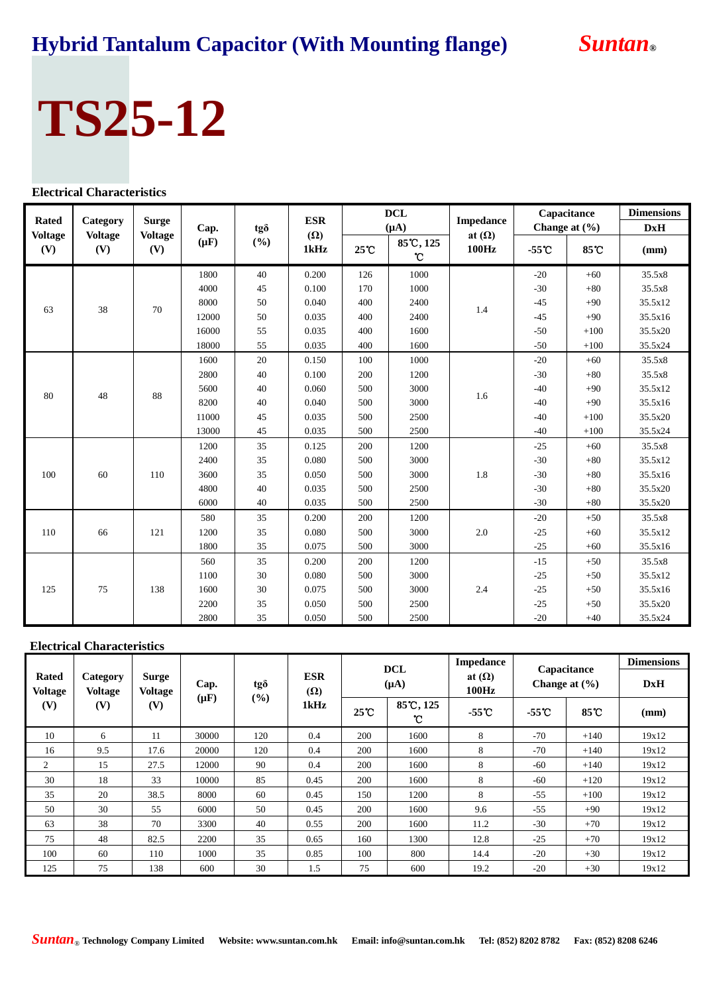## **Hybrid Tantalum Capacitor (With Mounting flange)** *Suntan***®**

# **TS25-12**

### **Electrical Characteristics**

| <b>Rated</b>          | Category<br><b>Voltage</b><br>(V) | <b>Surge</b><br><b>Voltage</b><br>(V) | Cap.<br>$(\mu F)$ | tgð<br>(%) | <b>ESR</b>         |                | <b>DCL</b><br>$(\mu A)$ | <b>Impedance</b>       | Capacitance<br>Change at (%) |        | <b>Dimensions</b><br>DxH |
|-----------------------|-----------------------------------|---------------------------------------|-------------------|------------|--------------------|----------------|-------------------------|------------------------|------------------------------|--------|--------------------------|
| <b>Voltage</b><br>(V) |                                   |                                       |                   |            | $(\Omega)$<br>1kHz | $25^{\circ}$ C | 85°C, 125<br>°C         | at $(\Omega)$<br>100Hz | $-55^{\circ}$ C              | 85°C   | (mm)                     |
|                       |                                   |                                       | 1800              | 40         | 0.200              | 126            | 1000                    |                        | $-20$                        | $+60$  | 35.5x8                   |
|                       |                                   |                                       | 4000              | 45         | 0.100              | 170            | 1000                    |                        | $-30$                        | $+80$  | 35.5x8                   |
|                       |                                   |                                       | 8000              | 50         | 0.040              | 400            | 2400                    |                        | $-45$                        | $+90$  | 35.5x12                  |
| 63                    | 38                                | 70                                    | 12000             | $50\,$     | 0.035              | 400            | 2400                    | 1.4                    | $-45$                        | $+90$  | 35.5x16                  |
|                       |                                   |                                       | 16000             | 55         | 0.035              | 400            | 1600                    |                        | $-50$                        | $+100$ | 35.5x20                  |
|                       |                                   |                                       | 18000             | 55         | 0.035              | 400            | 1600                    |                        | $-50$                        | $+100$ | 35.5x24                  |
|                       |                                   |                                       | 1600              | 20         | 0.150              | 100            | 1000                    | 1.6                    | $-20$                        | $+60$  | 35.5x8                   |
| 80                    | 48                                | 88                                    | 2800              | 40         | 0.100              | 200            | 1200                    |                        | $-30$                        | $+80$  | 35.5x8                   |
|                       |                                   |                                       | 5600              | 40         | 0.060              | 500            | 3000                    |                        | $-40$                        | $+90$  | 35.5x12                  |
|                       |                                   |                                       | 8200              | 40         | 0.040              | 500            | 3000                    |                        | $-40$                        | $+90$  | 35.5x16                  |
|                       |                                   |                                       | 11000             | 45         | 0.035              | 500            | 2500                    |                        | $-40$                        | $+100$ | 35.5x20                  |
|                       |                                   |                                       | 13000             | 45         | 0.035              | 500            | 2500                    |                        | $-40$                        | $+100$ | 35.5x24                  |
|                       | 60                                |                                       | 1200              | 35         | 0.125              | 200            | 1200                    | 1.8                    | $-25$                        | $+60$  | 35.5x8                   |
|                       |                                   |                                       | 2400              | 35         | 0.080              | 500            | 3000                    |                        | $-30$                        | $+80$  | 35.5x12                  |
| 100                   |                                   | 110                                   | 3600              | 35         | 0.050              | 500            | 3000                    |                        | $-30$                        | $+80$  | 35.5x16                  |
|                       |                                   |                                       | 4800              | 40         | 0.035              | 500            | 2500                    |                        | $-30$                        | $+80$  | 35.5x20                  |
|                       |                                   |                                       | 6000              | 40         | 0.035              | 500            | 2500                    |                        | $-30$                        | $+80$  | 35.5x20                  |
|                       | 66                                | 121                                   | 580               | 35         | 0.200              | 200            | 1200                    | 2.0                    | $-20$                        | $+50$  | 35.5x8                   |
| 110                   |                                   |                                       | 1200              | 35         | 0.080              | 500            | 3000                    |                        | $-25$                        | $+60$  | 35.5x12                  |
|                       |                                   |                                       | 1800              | 35         | 0.075              | 500            | 3000                    |                        | $-25$                        | $+60$  | 35.5x16                  |
| 125                   |                                   |                                       | 560               | 35         | 0.200              | 200            | 1200                    |                        | $-15$                        | $+50$  | 35.5x8                   |
|                       | 75                                | 138                                   | 1100              | 30         | 0.080              | 500            | 3000                    | 2.4                    | $-25$                        | $+50$  | 35.5x12                  |
|                       |                                   |                                       | 1600              | 30         | 0.075              | 500            | 3000                    |                        | $-25$                        | $+50$  | 35.5x16                  |
|                       |                                   |                                       | 2200              | 35         | 0.050              | 500            | 2500                    |                        | $-25$                        | $+50$  | 35.5x20                  |
|                       |                                   |                                       | 2800              | 35         | 0.050              | 500            | 2500                    |                        | $-20$                        | $+40$  | 35.5x24                  |

### **Electrical Characteristics**

|                                       |                                   |                                |                    |        |      |                | <b>DCL</b>                      | <b>Impedance</b> | Capacitance |                        | <b>Dimensions</b> |                   |            |
|---------------------------------------|-----------------------------------|--------------------------------|--------------------|--------|------|----------------|---------------------------------|------------------|-------------|------------------------|-------------------|-------------------|------------|
| <b>Rated</b><br><b>Voltage</b><br>(V) | Category<br><b>Voltage</b><br>(V) | Surge<br><b>Voltage</b><br>(V) |                    |        | Cap. | tgð            | <b>ESR</b><br>$(\Omega)$        |                  | $(\mu A)$   | at $(\Omega)$<br>100Hz |                   | Change at $(\% )$ | <b>DxH</b> |
|                                       |                                   |                                | $(\mu \mathbf{F})$ | $(\%)$ | 1kHz | $25^{\circ}$ C | 85°C, 125<br>$\mathbf{\hat{C}}$ | $-55o$           | $-55C$      | 85 C                   | (mm)              |                   |            |
| 10                                    | 6                                 | 11                             | 30000              | 120    | 0.4  | 200            | 1600                            | 8                | $-70$       | $+140$                 | 19x12             |                   |            |
| 16                                    | 9.5                               | 17.6                           | 20000              | 120    | 0.4  | 200            | 1600                            | 8                | $-70$       | $+140$                 | 19x12             |                   |            |
| 2                                     | 15                                | 27.5                           | 12000              | 90     | 0.4  | 200            | 1600                            | 8                | $-60$       | $+140$                 | 19x12             |                   |            |
| 30                                    | 18                                | 33                             | 10000              | 85     | 0.45 | 200            | 1600                            | 8                | $-60$       | $+120$                 | 19x12             |                   |            |
| 35                                    | 20                                | 38.5                           | 8000               | 60     | 0.45 | 150            | 1200                            | 8                | $-55$       | $+100$                 | 19x12             |                   |            |
| 50                                    | 30                                | 55                             | 6000               | 50     | 0.45 | 200            | 1600                            | 9.6              | $-55$       | $+90$                  | 19x12             |                   |            |
| 63                                    | 38                                | 70                             | 3300               | 40     | 0.55 | 200            | 1600                            | 11.2             | $-30$       | $+70$                  | 19x12             |                   |            |
| 75                                    | 48                                | 82.5                           | 2200               | 35     | 0.65 | 160            | 1300                            | 12.8             | $-25$       | $+70$                  | 19x12             |                   |            |
| 100                                   | 60                                | 110                            | 1000               | 35     | 0.85 | 100            | 800                             | 14.4             | $-20$       | $+30$                  | 19x12             |                   |            |
| 125                                   | 75                                | 138                            | 600                | 30     | 1.5  | 75             | 600                             | 19.2             | $-20$       | $+30$                  | 19x12             |                   |            |